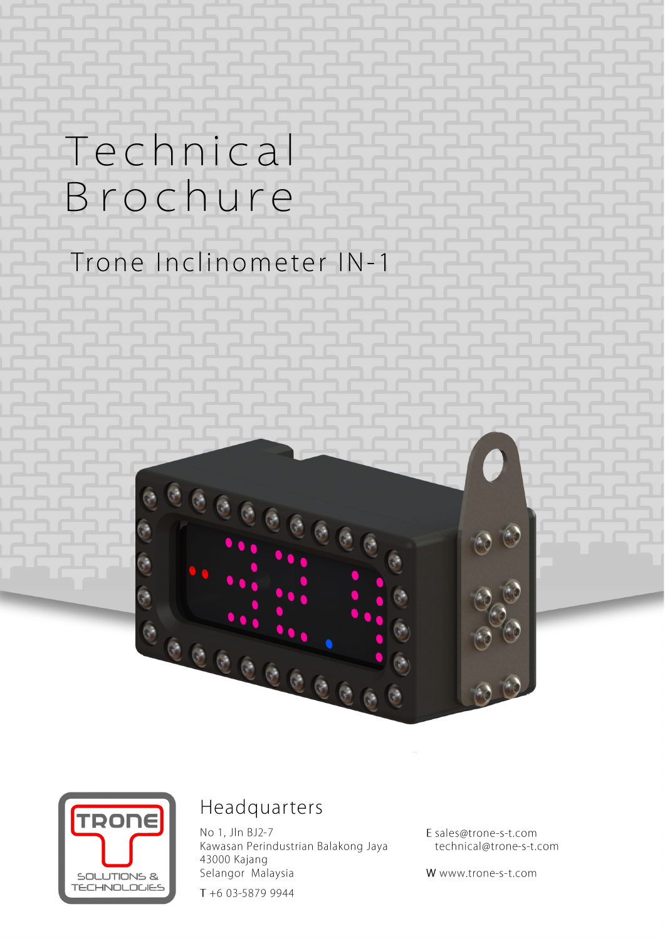# Technical Brochure

## Trone Inclinometer IN-1





### Headquarters

No 1, Jln BJ2-7 Kawasan Perindustrian Balakong Jaya 43000 Kajang Selangor Malaysia

T +6 03-5879 9944

E sales@trone-s-t.com technical@trone-s-t.com

W www.trone-s-t.com